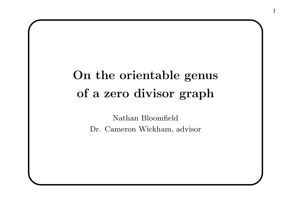## On the orientable genus of <sup>a</sup> zero divisor graph

Nathan Bloomfield Dr. Cameron Wickham, advisor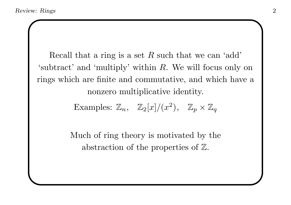Recall that a ring is a set  $R$  such that we can 'add' 'subtract' and 'multiply' within R. We will focus only on rings which are finite and commutative, and which have a nonzero multiplicative identity.

Examples:  $\mathbb{Z}_n$ ,  $\mathbb{Z}_2[x]/(x^2)$ ,  $\mathbb{Z}_p \times \mathbb{Z}_q$ 

Much of ring theory is motivated by the abstraction of the properties of  $\mathbb{Z}$ .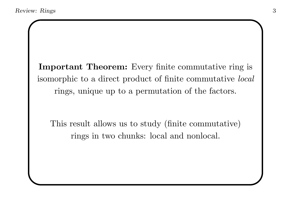Important Theorem: Every finite commutative ring is isomorphic to <sup>a</sup> direct product of finite commutative local rings, unique up to <sup>a</sup> permutation of the factors.

This result allows us to study (finite commutative) rings in two chunks: local and nonlocal.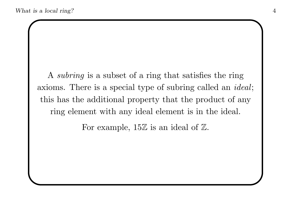A subring is a subset of a ring that satisfies the ring axioms. There is <sup>a</sup> special type of subring called an ideal; this has the additional property that the product of any ring element with any ideal element is in the ideal.

For example,  $15\mathbb{Z}$  is an ideal of  $\mathbb{Z}$ .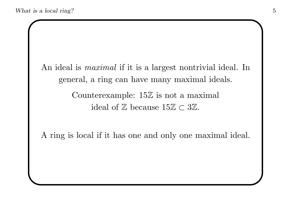An ideal is *maximal* if it is a largest nontrivial ideal. In general, <sup>a</sup> ring can have many maximal ideals. Counterexample:  $15\mathbb{Z}$  is not a maximal

ideal of  $\mathbb Z$  because  $15\mathbb Z \subset 3\mathbb Z$ .

A ring is local if it has one and only one maximal ideal.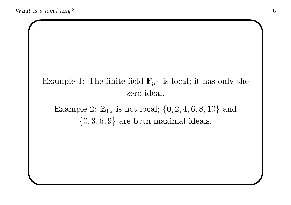## Example 1: The finite field  $\mathbb{F}_{p^{\alpha}}$  is local; it has only the zero ideal.

Example 2:  $\mathbb{Z}_{12}$  is not local;  $\{0, 2, 4, 6, 8, 10\}$  and  $\{0, 3, 6, 9\}$  are both maximal ideals.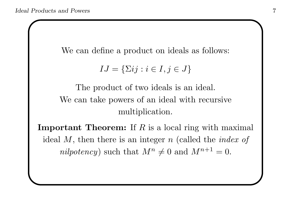We can define <sup>a</sup> product on ideals as follows:

$$
IJ = \{\Sigma ij : i \in I, j \in J\}
$$

The product of two ideals is an ideal. We can take powers of an ideal with recursive multiplication.

**Important Theorem:** If  $R$  is a local ring with maximal ideal  $M$ , then there is an integer  $n$  (called the *index of* nilpotency) such that  $M^n \neq 0$  and  $M^{n+1} = 0$ .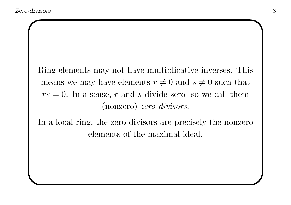Ring elements may not have multiplicative inverses. This means we may have elements  $r \neq 0$  and  $s \neq 0$  such that  $rs = 0$ . In a sense, r and s divide zero- so we call them (nonzero) zero-divisors.

In a local ring, the zero divisors are precisely the nonzero elements of the maximal ideal.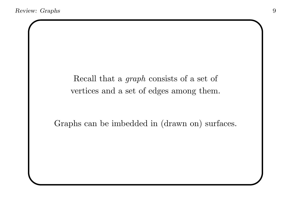Recall that <sup>a</sup> graph consists of <sup>a</sup> set of vertices and <sup>a</sup> set of edges among them.

Graphs can be imbedded in (drawn on) surfaces.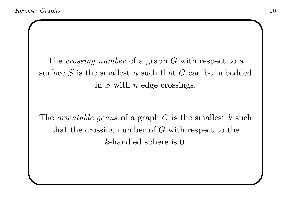The *crossing number* of a graph G with respect to a surface  $S$  is the smallest  $n$  such that  $G$  can be imbedded in S with <sup>n</sup> edge crossings.

The *orientable genus* of a graph  $G$  is the smallest  $k$  such that the crossing number of  $G$  with respect to the k-handled sphere is 0.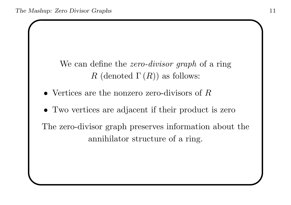We can define the *zero-divisor graph* of a ring R (denoted  $\Gamma(R)$ ) as follows:

- Vertices are the nonzero zero-divisors of  $R$
- Two vertices are adjacent if their product is zero

The zero-divisor graph preserves information about the annihilator structure of a ring.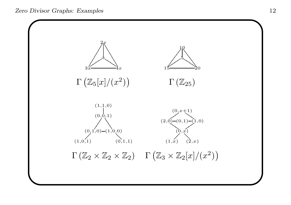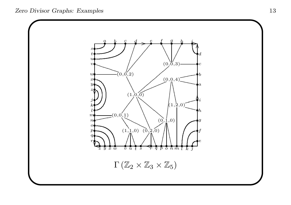Zero Divisor Graphs: Examples 13

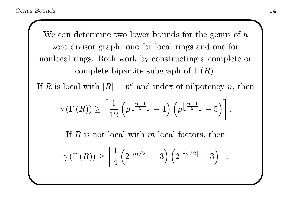We can determine two lower bounds for the genus of a zero divisor graph: one for local rings and one for nonlocal rings. Both work by constructing <sup>a</sup> complete or complete bipartite subgraph of  $\Gamma(R)$ .

If R is local with  $|R| = p^k$  and index of nilpotency n, then

$$
\gamma\left(\Gamma\left(R\right)\right) \ge \left\lceil \frac{1}{12} \left(p^{\left\lfloor \frac{n+1}{2} \right\rfloor} - 4\right) \left(p^{\left\lfloor \frac{n+1}{2} \right\rfloor} - 5\right) \right\rceil.
$$

If  $R$  is not local with  $m$  local factors, then

$$
\gamma\left(\Gamma\left(R\right)\right) \geq \left\lceil \frac{1}{4} \left(2^{\lfloor m/2 \rfloor} - 3\right) \left(2^{\lceil m/2 \rceil} - 3\right) \right\rceil.
$$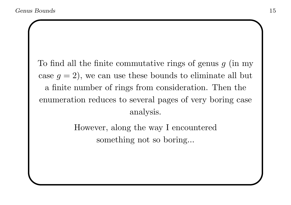To find all the finite commutative rings of genus  $g$  (in my case  $g = 2$ , we can use these bounds to eliminate all but <sup>a</sup> finite number of rings from consideration. Then the enumeration reduces to several pages of very boring case analysis.

> However, along the way I encountered something not so boring...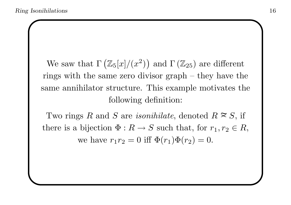We saw that  $\Gamma \left( \mathbb{Z}_5[x]/(x^2) \right)$  and  $\Gamma \left( \mathbb{Z}_{25} \right)$  are different rings with the same zero divisor graph – they have the same annihilator structure. This example motivates the following definition:

Two rings R and S are *isonihilate*, denoted  $R \approx S$ , if there is a bijection  $\Phi: R \to S$  such that, for  $r_1, r_2 \in R$ , we have  $r_1r_2 = 0$  iff  $\Phi(r_1)\Phi(r_2) = 0$ .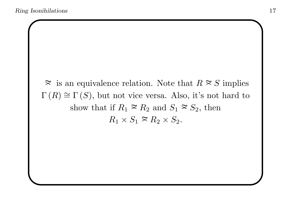$\approx$  is an equivalence relation. Note that  $R \approx S$  implies  $\Gamma(R) \cong \Gamma(S)$ , but not vice versa. Also, it's not hard to show that if  $R_1 \approx R_2$  and  $S_1 \approx S_2$ , then  $R_1 \times S_1 \cong R_2 \times S_2$ .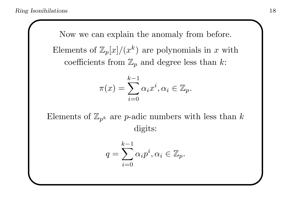Now we can explain the anomaly from before. Elements of  $\mathbb{Z}_p[x]/(x^k)$  are polynomials in x with coefficients from  $\mathbb{Z}_p$  and degree less than k:

$$
\pi(x) = \sum_{i=0}^{k-1} \alpha_i x^i, \alpha_i \in \mathbb{Z}_p.
$$

Elements of  $\mathbb{Z}_{p^k}$  are *p*-adic numbers with less than k digits:

$$
q = \sum_{i=0}^{k-1} \alpha_i p^i, \alpha_i \in \mathbb{Z}_p.
$$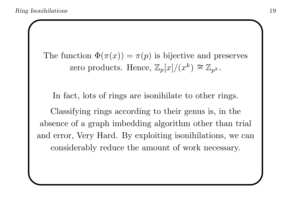The function  $\Phi(\pi(x)) = \pi(p)$  is bijective and preserves zero products. Hence,  $\mathbb{Z}_p[x]/(x^k) \approx \mathbb{Z}_{p^k}$ .

In fact, lots of rings are isonihilate to other rings.

Classifying rings according to their genus is, in the absence of <sup>a</sup> graph imbedding algorithm other than trial and error, Very Hard. By exploiting isonihilations, we can considerably reduce the amount of work necessary.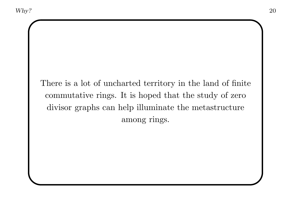There is <sup>a</sup> lot of uncharted territory in the land of finite commutative rings. It is hoped that the study of zero divisor graphs can help illuminate the metastructure among rings.